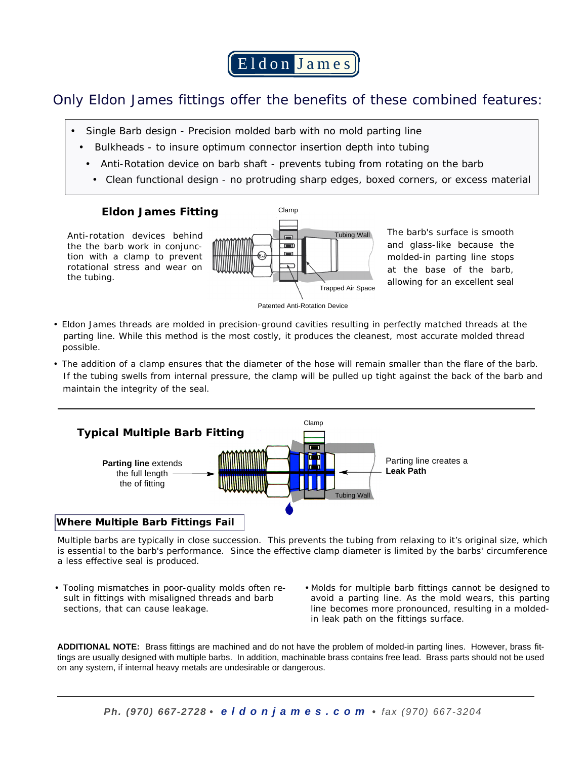Eldon Jame s

# Only Eldon James fittings offer the benefits of these combined features:

- Single Barb design Precision molded barb with no mold parting line
	- Bulkheads to insure optimum connector insertion depth into tubing
	- Anti-Rotation device on barb shaft prevents tubing from rotating on the barb
	- Clean functional design no protruding sharp edges, boxed corners, or excess material

## **Eldon James Fitting**

Anti-rotation devices behind the the barb work in conjunction with a clamp to prevent rotational stress and wear on the tubing.



The barb's surface is smooth and glass-like because the molded-in parting line stops at the base of the barb, allowing for an excellent seal



- Eldon James threads are molded in precision-ground cavities resulting in perfectly matched threads at the parting line. While this method is the most costly, it produces the cleanest, most accurate molded thread possible.
- The addition of a clamp ensures that the diameter of the hose will remain smaller than the flare of the barb. If the tubing swells from internal pressure, the clamp will be pulled up tight against the back of the barb and maintain the integrity of the seal.



## **Where Multiple Barb Fittings Fail**

Multiple barbs are typically in close succession. This prevents the tubing from relaxing to it's original size, which is essential to the barb's performance. Since the effective clamp diameter is limited by the barbs' circumference a less effective seal is produced.

- Tooling mismatches in poor-quality molds often result in fittings with misaligned threads and barb sections, that can cause leakage.
- Molds for multiple barb fittings cannot be designed to avoid a parting line. As the mold wears, this parting line becomes more pronounced, resulting in a moldedin leak path on the fittings surface.

**ADDITIONAL NOTE:** Brass fittings are machined and do not have the problem of molded-in parting lines. However, brass fittings are usually designed with multiple barbs. In addition, machinable brass contains free lead. Brass parts should not be used on any system, if internal heavy metals are undesirable or dangerous.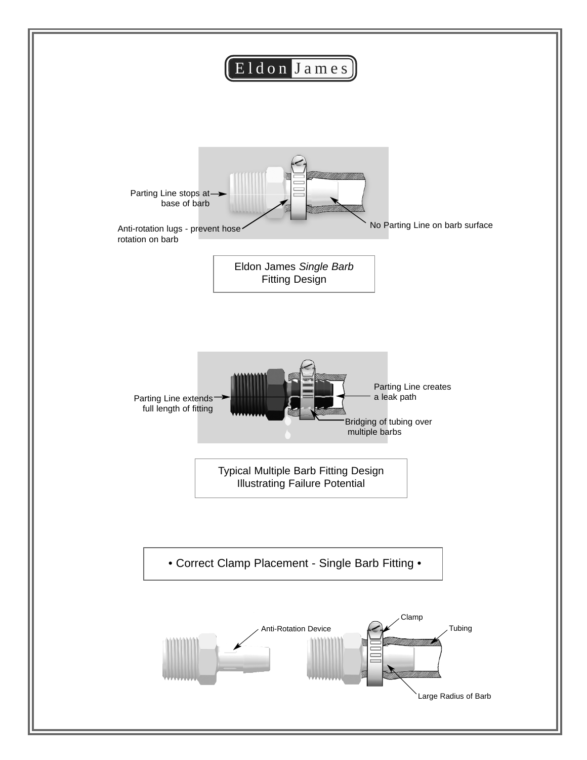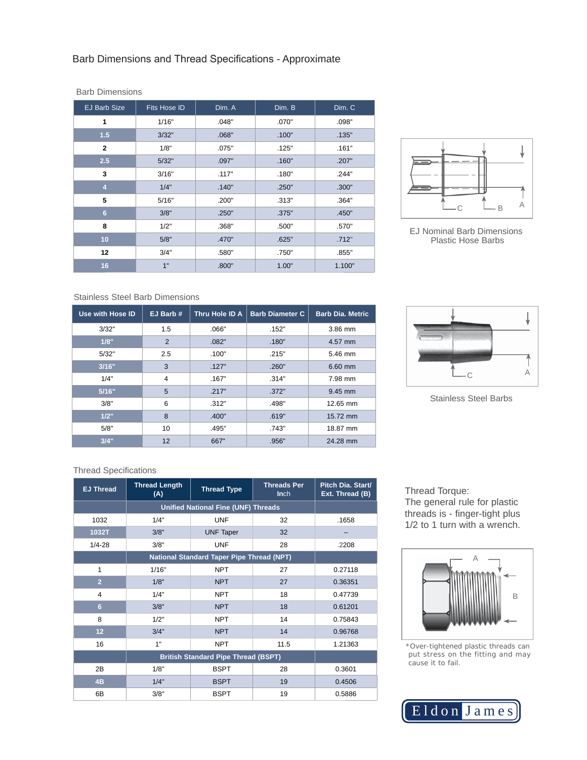| <b>EJ Barb Size</b> | <b>Fits Hose ID</b> | Dim. A | Dim. B | Dim. C |  |
|---------------------|---------------------|--------|--------|--------|--|
| 1                   | 1/16"               | .048"  | .070"  | .098"  |  |
| 1.5                 | 3/32"               | .068"  | .100"  | .135"  |  |
| $\overline{2}$      | 1/8"                | .075"  | .125"  | .161"  |  |
| 2.5                 | 5/32"               | .097"  | .160"  | .207"  |  |
| 3                   | 3/16"               | .117"  | .180"  | .244"  |  |
| $\overline{4}$      | 1/4"                | .140"  | .250"  | .300"  |  |
| 5                   | 5/16"               | .200"  | .313"  | .364"  |  |
| $6\phantom{a}$      | 3/8"                | .250"  | .375"  | .450"  |  |
| 8                   | 1/2"                | .368"  | .500"  | .570"  |  |
| 10                  | 5/8"                | .470"  | .625"  | .712"  |  |
| 12                  | 3/4"                | .580"  | .750"  | .855"  |  |
| 16                  | 1"                  | .800"  | 1.00"  | 1.100" |  |



EJ Nominal Barb Dimensions Plastic Hose Barbs

#### Stainless Steel Barb Dimensions

Barb Dimensions

| Use with Hose ID | EJ Barb #      | Thru Hole ID A | <b>Barb Diameter C</b> | <b>Barb Dia. Metric</b> |  |
|------------------|----------------|----------------|------------------------|-------------------------|--|
| 3/32"            | 1.5            | .066"          | .152"                  | 3.86 mm                 |  |
| 1/8"             | $\overline{2}$ | .082"          | .180"                  | 4.57 mm                 |  |
| 5/32"            | 2.5            | .100"          | .215"                  | 5.46 mm                 |  |
| 3/16"            | 3              | .127"          | .260"                  | 6.60 mm                 |  |
| 1/4"             | 4              | .167"          | .314"                  | 7.98 mm                 |  |
| 5/16"            | 5              | .217"          | .372"                  | 9.45 mm                 |  |
| 3/8"             | 6              | .312"          | .498"                  | 12.65 mm                |  |
| 1/2"             | 8              | .400"          | .619"                  | 15.72 mm                |  |
| 5/8"             | 10             | .495"          | .743"                  | 18.87 mm                |  |
| 3/4"             | 12             | 667"           | .956"                  | 24.28 mm                |  |



Stainless Steel Barbs

### Thread Specifications

| <b>EJ Thread</b> | <b>Thread Length</b><br>(A)                      | <b>Thread Type</b> | <b>Threads Per</b><br>Inch | Pitch Dia. Start/<br>Ext. Thread (B) |  |
|------------------|--------------------------------------------------|--------------------|----------------------------|--------------------------------------|--|
|                  | <b>Unified National Fine (UNF) Threads</b>       |                    |                            |                                      |  |
| 1032             | 1/4"                                             | <b>UNF</b>         | 32                         | .1658                                |  |
| 1032T            | 3/8"                                             | <b>UNF Taper</b>   | 32                         |                                      |  |
| $1/4 - 28$       | 3/8"                                             | <b>UNF</b>         | 28                         | .2208                                |  |
|                  | <b>National Standard Taper Pipe Thread (NPT)</b> |                    |                            |                                      |  |
| 1                | 1/16"                                            | <b>NPT</b>         | 27                         | 0.27118                              |  |
| $\overline{2}$   | 1/8"                                             | <b>NPT</b>         | 27                         | 0.36351                              |  |
| 4                | 1/4"                                             | <b>NPT</b>         | 18                         | 0.47739                              |  |
| 6                | 3/8"                                             | <b>NPT</b>         | 18                         | 0.61201                              |  |
| 8                | 1/2"                                             | <b>NPT</b>         | 14                         | 0.75843                              |  |
| 12               | 3/4"                                             | <b>NPT</b>         | 14                         | 0.96768                              |  |
| 16               | 1"                                               | <b>NPT</b>         | 11.5                       | 1.21363                              |  |
|                  | <b>British Standard Pipe Thread (BSPT)</b>       |                    |                            |                                      |  |
| 2B               | 1/8"                                             | <b>BSPT</b>        | 28                         | 0.3601                               |  |
| 4B               | 1/4"                                             | <b>BSPT</b>        | 19                         | 0.4506                               |  |
| 6B               | 3/8"                                             | <b>BSPT</b>        | 19                         | 0.5886                               |  |

Thread Torque: The general rule for plastic threads is - finger-tight plus 1/2 to 1 turn with a wrench.



\*Over-tightened plastic threads can put stress on the fitting and may cause it to fail.